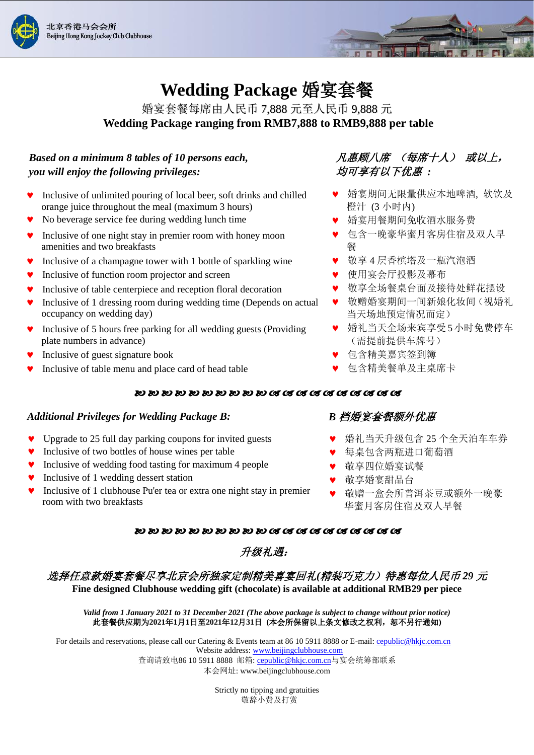



# **Wedding Package** 婚宴套餐

婚宴套餐每席由人民币 7,888 元至人民币 9,888 元 **Wedding Package ranging from RMB7,888 to RMB9,888 per table**

# *Based on a minimum 8 tables of 10 persons each,* 凡惠顾八席 (每席十人) 或以上, *you will enjoy the following privileges:* 均可享有以下优惠 *:*

- Inclusive of unlimited pouring of local beer, soft drinks and chilled orange juice throughout the meal (maximum 3 hours)
- No beverage service fee during wedding lunch time
- Inclusive of one night stay in premier room with honey moon amenities and two breakfasts
- Inclusive of a champagne tower with 1 bottle of sparkling wine <br>● 敬享 4 层香槟塔及一瓶汽泡酒
- ♥ Inclusive of function room projector and screen <br>● 使用宴会厅投影及幕布
- **v** Inclusive of table centerpiece and reception floral decoration
- Inclusive of 1 dressing room during wedding time (Depends on actual occupancy on wedding day)
- Inclusive of 5 hours free parking for all wedding guests (Providing plate numbers in advance)
- Inclusive of guest signature book 包含精美嘉宾签到簿
- Inclusive of table menu and place card of head table 包含精美餐单及主桌席卡

- 婚宴期间无限量供应本地啤酒, 软饮及 橙汁 (3 小时内)
- 婚宴用餐期间免收酒水服务费
- 包含一晚豪华蜜月客房住宿及双人早 餐
- 
- 
- 敬享全场餐桌台面及接待处鲜花摆设
- 敬赠婚宴期间一间新娘化妆间(视婚礼 当天场地预定情况而定)
- 婚礼当天全场来宾享受5小时免费停车 (需提前提供车牌号)
- 
- 

#### 50 50 50 50 50 50 50 50 50 50 68 68 68 68 68 68 68 68 68

#### *Additional Privileges for Wedding Package B: B* 档婚宴套餐额外优惠

- Upgrade to 25 full day parking coupons for invited guests
- Inclusive of two bottles of house wines per table
- Inclusive of wedding food tasting for maximum 4 people
- Inclusive of 1 wedding dessert station
- Inclusive of 1 clubhouse Pu'er tea or extra one night stay in premier room with two breakfasts

- 婚礼当天升级包含 25 个全天泊车车券
- 每桌包含两瓶进口葡萄酒
- 敬享四位婚宴试餐
- 敬享婚宴甜品台
- 敬赠一盒会所普洱茶豆或额外一晚豪 华蜜月客房住宿及双人早餐

#### 30 30 30 30 30 30 30 30 30 30 61 61 63 63 64 65 65 66 66

# 升级礼遇:

# 选择任意款婚宴套餐尽享北京会所独家定制精美喜宴回礼*(*精装巧克力)特惠每位人民币 *29* 元

**Fine designed Clubhouse wedding gift (chocolate) is available at additional RMB29 per piece**

#### *Valid from 1 January 2021 to 31 December 2021 (The above package is subject to change without prior notice)* 此套餐供应期为**2021**年**1**月**1**日至**2021**年**12**月**31**日 **(**本会所保留以上条文修改之权利,恕不另行通知**)**

For details and reservations, please call our Catering & Events team at 86 10 5911 8888 or E-mail: [cepublic@hkjc.com.cn](mailto:cepublic@hkjc.com.cn) Website address: [www.beijingclubhouse.com](http://www.beijingclubhouse.com/) 查询请致电86 10 5911 8888 邮箱[: cepublic@hkjc.com.cn](mailto:cepublic@hkjc.com.cn)与宴会统筹部联系

本会网址: [www.beijingclubhouse.com](http://www.beijingclubhouse.com/)

Strictly no tipping and gratuities 敬辞小费及打赏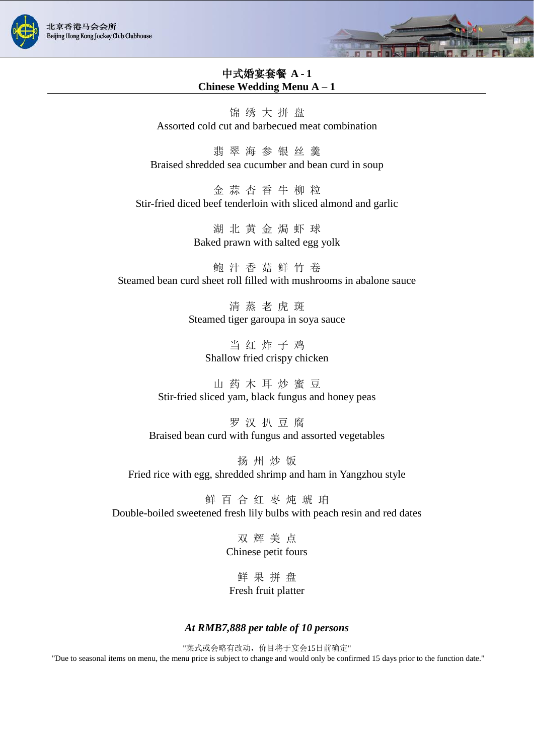



## 中式婚宴套餐 **A - 1 Chinese Wedding Menu A – 1**

锦 绣 大 拼 盘 Assorted cold cut and barbecued meat combination

翡 翠 海 参 银 丝 羹 Braised shredded sea cucumber and bean curd in soup

金 蒜 杏 香 牛 柳 粒 Stir-fried diced beef tenderloin with sliced almond and garlic

> 湖 北 黄 金 焗 虾 球 Baked prawn with salted egg yolk

鲍 汁 香 菇 鲜 竹 卷 Steamed bean curd sheet roll filled with mushrooms in abalone sauce

> 清 蒸 老 虎 斑 Steamed tiger garoupa in soya sauce

> > 当 红 炸 子 鸡 Shallow fried crispy chicken

山 药 木 耳 炒 蜜 豆 Stir-fried sliced yam, black fungus and honey peas

罗 汉 扒 豆 腐 Braised bean curd with fungus and assorted vegetables

扬 州 炒 饭 Fried rice with egg, shredded shrimp and ham in Yangzhou style

鲜 百 合 红 枣 炖 琥 珀 Double-boiled sweetened fresh lily bulbs with peach resin and red dates

> 双 辉 美 点 Chinese petit fours

鲜 果 拼 盘 Fresh fruit platter

#### *At RMB7,888 per table of 10 persons*

"菜式或会略有改动,价目将于宴会15日前确定" "Due to seasonal items on menu, the menu price is subject to change and would only be confirmed 15 days prior to the function date."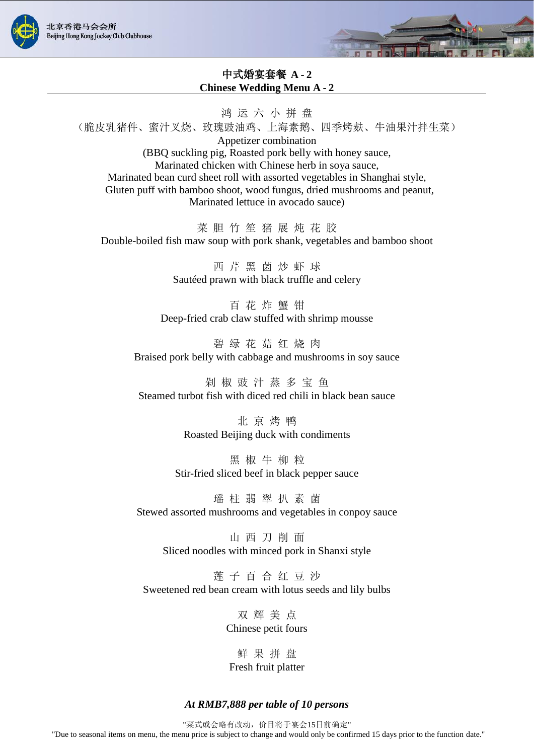



# 中式婚宴套餐 **A - 2 Chinese Wedding Menu A - 2**

鸿 运 六 小 拼 盘 (脆皮乳猪件、蜜汁叉烧、玫瑰豉油鸡、上海素鹅、四季烤麸、牛油果汁拌生菜) Appetizer combination (BBQ suckling pig, Roasted pork belly with honey sauce, Marinated chicken with Chinese herb in soya sauce, Marinated bean curd sheet roll with assorted vegetables in Shanghai style, Gluten puff with bamboo shoot, wood fungus, dried mushrooms and peanut, Marinated lettuce in avocado sauce)

菜 胆 竹 笙 猪 展 炖 花 胶 Double-boiled fish maw soup with pork shank, vegetables and bamboo shoot

> 西 芹 黑 菌 炒 虾 球 Saut éed prawn with black truffle and celery

百 花 炸 蟹 钳 Deep-fried crab claw stuffed with shrimp mousse

碧 绿 花 菇 红 烧 肉 Braised pork belly with cabbage and mushrooms in soy sauce

剁 椒 豉 汁 蒸 多 宝 鱼 Steamed turbot fish with diced red chili in black bean sauce

> 北 京 烤 鸭 Roasted Beijing duck with condiments

黑 椒 牛 柳 粒 Stir-fried sliced beef in black pepper sauce

瑶 柱 翡 翠 扒 素 菌 Stewed assorted mushrooms and vegetables in conpoy sauce

山 西 刀 削 面 Sliced noodles with minced pork in Shanxi style

莲 子 百 合 红 豆 沙 Sweetened red bean cream with lotus seeds and lily bulbs

> 双 辉 美 点 Chinese petit fours

鲜 果 拼 盘 Fresh fruit platter

#### *At RMB7,888 per table of 10 persons*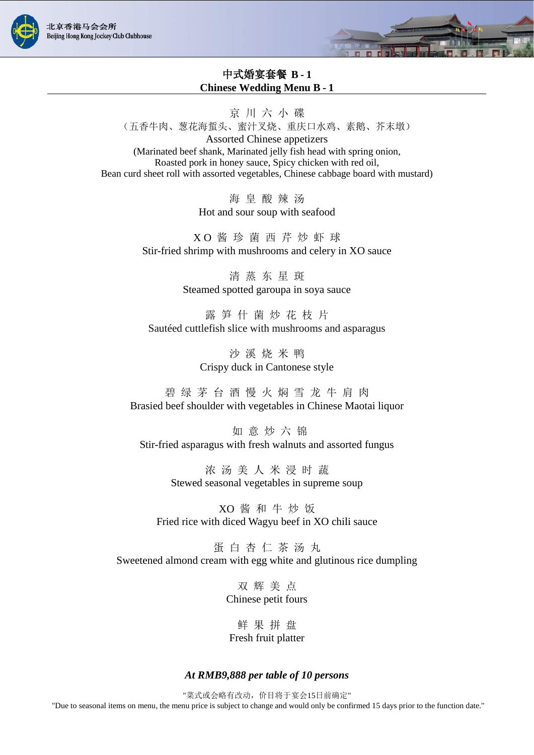



# 中式婚宴套餐 **B - 1 Chinese Wedding Menu B - 1**

京 川 六 小 碟

(五香牛肉、葱花海蜇头、蜜汁叉烧、重庆口水鸡、素鹅、芥末墩)

Assorted Chinese appetizers (Marinated beef shank, Marinated jelly fish head with spring onion, Roasted pork in honey sauce, Spicy chicken with red oil, Bean curd sheet roll with assorted vegetables, Chinese cabbage board with mustard)

> 海 皇 酸 辣 汤 Hot and sour soup with seafood

X O 酱 珍 菌 西 芹 炒 虾 球 Stir-fried shrimp with mushrooms and celery in XO sauce

> 清 蒸 东 星 斑 Steamed spotted garoupa in soya sauce

露 笋 什 菌 炒 花 枝 片 Saut éed cuttlefish slice with mushrooms and asparagus

> 沙 溪 烧 米 鸭 Crispy duck in Cantonese style

碧 绿 茅 台 酒 慢 火 焖 雪 龙 牛 肩 肉 Brasied beef shoulder with vegetables in Chinese Maotai liquor

如 意 炒 六 锦 Stir-fried asparagus with fresh walnuts and assorted fungus

> 浓 汤 美 人 米 浸 时 蔬 Stewed seasonal vegetables in supreme soup

XO 酱 和 牛 炒 饭 Fried rice with diced Wagyu beef in XO chili sauce

蛋白杏仁茶汤丸 Sweetened almond cream with egg white and glutinous rice dumpling

> 双 辉 美 点 Chinese petit fours

鲜 果 拼 盘 Fresh fruit platter

### *At RMB9,888 per table of 10 persons*

"菜式或会略有改动,价目将于宴会15日前确定" "Due to seasonal items on menu, the menu price is subject to change and would only be confirmed 15 days prior to the function date."